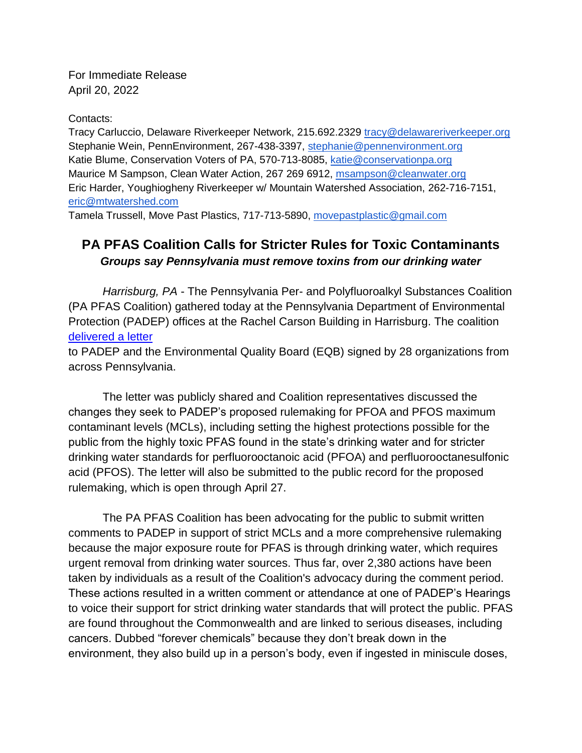For Immediate Release April 20, 2022

## Contacts:

Tracy Carluccio, Delaware Riverkeeper Network, 215.692.2329 [tracy@delawareriverkeeper.org](mailto:tracy@delawareriverkeeper.org) Stephanie Wein, PennEnvironment, 267-438-3397, [stephanie@pennenvironment.org](mailto:stephanie@pennenvironment.org) Katie Blume, Conservation Voters of PA, 570-713-8085, [katie@conservationpa.org](mailto:katie@conservationpa.org) Maurice M Sampson, Clean Water Action, 267 269 6912, [msampson@cleanwater.org](mailto:msampson@cleanwater.org) Eric Harder, Youghiogheny Riverkeeper w/ Mountain Watershed Association, 262-716-7151, [eric@mtwatershed.com](mailto:eric@mtwatershed.com)

Tamela Trussell, Move Past Plastics, 717-713-5890, [movepastplastic@gmail.com](mailto:movepastplastic@gmail.com)

## **PA PFAS Coalition Calls for Stricter Rules for Toxic Contaminants** *Groups say Pennsylvania must remove toxins from our drinking water*

*Harrisburg, PA* - The Pennsylvania Per- and Polyfluoroalkyl Substances Coalition (PA PFAS Coalition) gathered today at the Pennsylvania Department of Environmental Protection (PADEP) offices at the Rachel Carson Building in Harrisburg. The coalition [delivered a letter](https://www.delawareriverkeeper.org/sites/default/files/Organizational%20PFAS%20PA%20Letter%20%282022-04-20%29.pdf)

to PADEP and the Environmental Quality Board (EQB) signed by 28 organizations from across Pennsylvania.

The letter was publicly shared and Coalition representatives discussed the changes they seek to PADEP's proposed rulemaking for PFOA and PFOS maximum contaminant levels (MCLs), including setting the highest protections possible for the public from the highly toxic PFAS found in the state's drinking water and for stricter drinking water standards for perfluorooctanoic acid (PFOA) and perfluorooctanesulfonic acid (PFOS). The letter will also be submitted to the public record for the proposed rulemaking, which is open through April 27.

The PA PFAS Coalition has been advocating for the public to submit written comments to PADEP in support of strict MCLs and a more comprehensive rulemaking because the major exposure route for PFAS is through drinking water, which requires urgent removal from drinking water sources. Thus far, over 2,380 actions have been taken by individuals as a result of the Coalition's advocacy during the comment period. These actions resulted in a written comment or attendance at one of PADEP's Hearings to voice their support for strict drinking water standards that will protect the public. PFAS are found throughout the Commonwealth and are linked to serious diseases, including cancers. Dubbed "forever chemicals" because they don't break down in the environment, they also build up in a person's body, even if ingested in miniscule doses,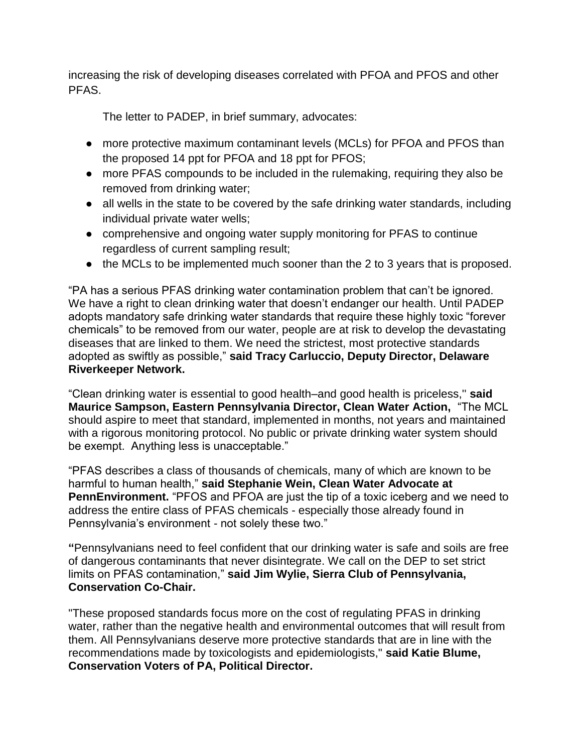increasing the risk of developing diseases correlated with PFOA and PFOS and other PFAS.

The letter to PADEP, in brief summary, advocates:

- more protective maximum contaminant levels (MCLs) for PFOA and PFOS than the proposed 14 ppt for PFOA and 18 ppt for PFOS;
- more PFAS compounds to be included in the rulemaking, requiring they also be removed from drinking water;
- all wells in the state to be covered by the safe drinking water standards, including individual private water wells;
- comprehensive and ongoing water supply monitoring for PFAS to continue regardless of current sampling result;
- the MCLs to be implemented much sooner than the 2 to 3 years that is proposed.

"PA has a serious PFAS drinking water contamination problem that can't be ignored. We have a right to clean drinking water that doesn't endanger our health. Until PADEP adopts mandatory safe drinking water standards that require these highly toxic "forever chemicals" to be removed from our water, people are at risk to develop the devastating diseases that are linked to them. We need the strictest, most protective standards adopted as swiftly as possible," **said Tracy Carluccio, Deputy Director, Delaware Riverkeeper Network.**

"Clean drinking water is essential to good health–and good health is priceless,'' **said Maurice Sampson, Eastern Pennsylvania Director, Clean Water Action,** "The MCL should aspire to meet that standard, implemented in months, not years and maintained with a rigorous monitoring protocol. No public or private drinking water system should be exempt. Anything less is unacceptable."

"PFAS describes a class of thousands of chemicals, many of which are known to be harmful to human health," **said Stephanie Wein, Clean Water Advocate at PennEnvironment.** "PFOS and PFOA are just the tip of a toxic iceberg and we need to address the entire class of PFAS chemicals - especially those already found in Pennsylvania's environment - not solely these two."

**"**Pennsylvanians need to feel confident that our drinking water is safe and soils are free of dangerous contaminants that never disintegrate. We call on the DEP to set strict limits on PFAS contamination," **said Jim Wylie, Sierra Club of Pennsylvania, Conservation Co-Chair.**

"These proposed standards focus more on the cost of regulating PFAS in drinking water, rather than the negative health and environmental outcomes that will result from them. All Pennsylvanians deserve more protective standards that are in line with the recommendations made by toxicologists and epidemiologists," **said Katie Blume, Conservation Voters of PA, Political Director.**